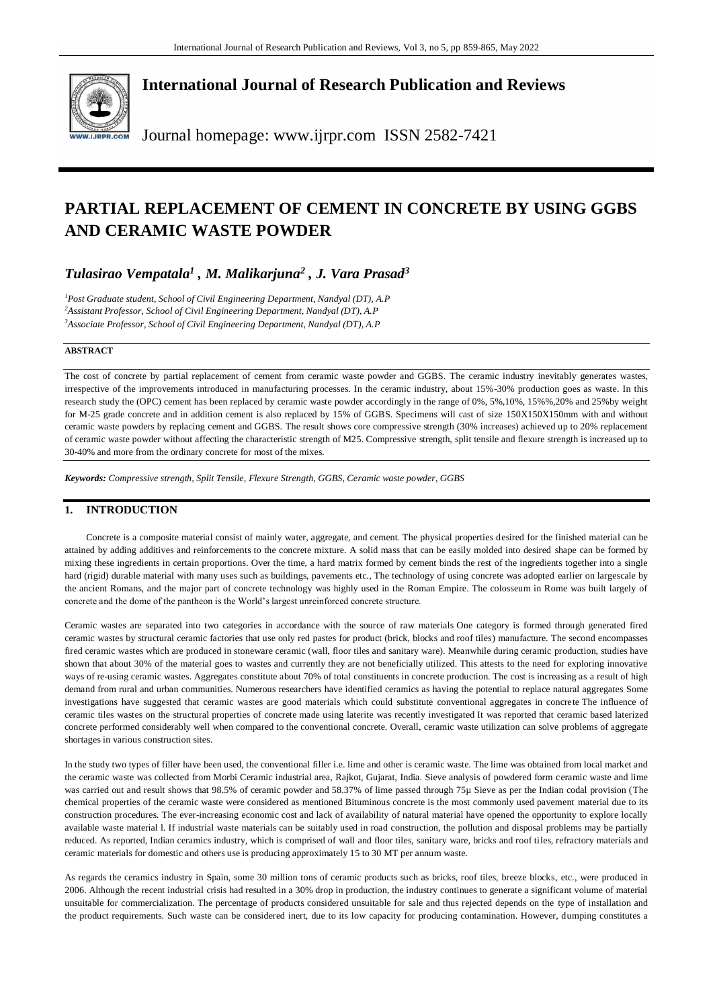

**International Journal of Research Publication and Reviews**

Journal homepage: www.ijrpr.com ISSN 2582-7421

# **PARTIAL REPLACEMENT OF CEMENT IN CONCRETE BY USING GGBS AND CERAMIC WASTE POWDER**

# *Tulasirao Vempatala<sup>1</sup> , M. Malikarjuna<sup>2</sup> , J. Vara Prasad<sup>3</sup>*

*<sup>1</sup>Post Graduate student, School of Civil Engineering Department, Nandyal (DT), A.P <sup>2</sup>Assistant Professor, School of Civil Engineering Department, Nandyal (DT), A.P <sup>3</sup>Associate Professor, School of Civil Engineering Department, Nandyal (DT), A.P*

## **ABSTRACT**

The cost of concrete by partial replacement of cement from ceramic waste powder and GGBS. The ceramic industry inevitably generates wastes, irrespective of the improvements introduced in manufacturing processes. In the ceramic industry, about 15%-30% production goes as waste. In this research study the (OPC) cement has been replaced by ceramic waste powder accordingly in the range of 0%, 5%,10%, 15%%,20% and 25%by weight for M-25 grade concrete and in addition cement is also replaced by 15% of GGBS. Specimens will cast of size 150X150X150mm with and without ceramic waste powders by replacing cement and GGBS. The result shows core compressive strength (30% increases) achieved up to 20% replacement of ceramic waste powder without affecting the characteristic strength of M25. Compressive strength, split tensile and flexure strength is increased up to 30-40% and more from the ordinary concrete for most of the mixes.

*Keywords: Compressive strength, Split Tensile, Flexure Strength, GGBS, Ceramic waste powder, GGBS*

## **1. INTRODUCTION**

Concrete is a composite material consist of mainly water, aggregate, and cement. The physical properties desired for the finished material can be attained by adding additives and reinforcements to the concrete mixture. A solid mass that can be easily molded into desired shape can be formed by mixing these ingredients in certain proportions. Over the time, a hard matrix formed by cement binds the rest of the ingredients together into a single hard (rigid) durable material with many uses such as buildings, pavements etc., The technology of using concrete was adopted earlier on largescale by the ancient Romans, and the major part of concrete technology was highly used in the Roman Empire. The colosseum in Rome was built largely of concrete and the dome of the pantheon is the World's largest unreinforced concrete structure.

Ceramic wastes are separated into two categories in accordance with the source of raw materials One category is formed through generated fired ceramic wastes by structural ceramic factories that use only red pastes for product (brick, blocks and roof tiles) manufacture. The second encompasses fired ceramic wastes which are produced in stoneware ceramic (wall, floor tiles and sanitary ware). Meanwhile during ceramic production, studies have shown that about 30% of the material goes to wastes and currently they are not beneficially utilized. This attests to the need for exploring innovative ways of re-using ceramic wastes. Aggregates constitute about 70% of total constituents in concrete production. The cost is increasing as a result of high demand from rural and urban communities. Numerous researchers have identified ceramics as having the potential to replace natural aggregates Some investigations have suggested that ceramic wastes are good materials which could substitute conventional aggregates in concrete The influence of ceramic tiles wastes on the structural [properties of concrete](https://www.sciencedirect.com/topics/engineering/properties-of-concrete) made using laterite was recently investigated It was reported that ceramic based laterized concrete performed considerably well when compared to the conventional concrete. Overall, ceramic waste utilization can solve problems of aggregate shortages in various construction sites.

In the study two types of filler have been used, the conventional filler i.e. lime and other is ceramic waste. The lime was obtained from local market and the ceramic waste was collected from Morbi Ceramic industrial area, Rajkot, Gujarat, India. Sieve analysis of powdered form ceramic waste and lime was carried out and result shows that 98.5% of ceramic powder and 58.37% of lime passed through 75µ Sieve as per the Indian codal provision (The chemical properties of the ceramic waste were considered as mentioned Bituminous concrete is the most commonly used pavement material due to its construction procedures. The ever-increasing economic cost and lack of availability of natural material have opened the opportunity to explore locally available waste material l. If industrial waste materials can be suitably used in road construction, the pollution and disposal problems may be partially reduced. As reported, Indian ceramics industry, which is comprised of wall and floor tiles, sanitary ware, bricks and roof tiles, refractory materials and ceramic materials for domestic and others use is producing approximately 15 to 30 MT per annum waste.

As regards the ceramics industry in Spain, some 30 million tons of ceramic products such as bricks, roof tiles, breeze blocks, etc., were produced in 2006. Although the recent industrial crisis had resulted in a 30% drop in production, the industry continues to generate a significant volume of material unsuitable for commercialization. The percentage of products considered unsuitable for sale and thus rejected depends on the type of installation and the product requirements. Such waste can be considered inert, due to its low capacity for producing contamination. However, dumping constitutes a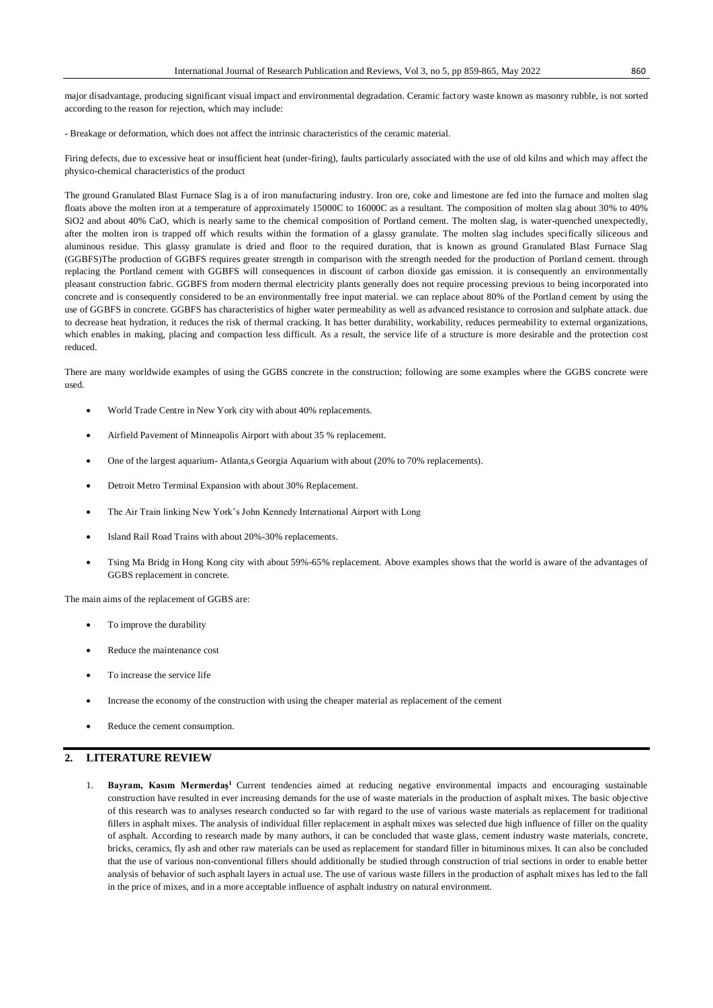- Breakage or deformation, which does not affect the intrinsic characteristics of the ceramic material.

Firing defects, due to excessive heat or insufficient heat (under-firing), faults particularly associated with the use of old kilns and which may affect the physico-chemical characteristics of the product

The ground Granulated Blast Furnace Slag is a of iron manufacturing industry. Iron ore, coke and limestone are fed into the furnace and molten slag floats above the molten iron at a temperature of approximately 15000C to 16000C as a resultant. The composition of molten slag about 30% to 40% SiO2 and about 40% CaO, which is nearly same to the chemical composition of Portland cement. The molten slag, is water-quenched unexpectedly, after the molten iron is trapped off which results within the formation of a glassy granulate. The molten slag includes specifically siliceous and aluminous residue. This glassy granulate is dried and floor to the required duration, that is known as ground Granulated Blast Furnace Slag (GGBFS)The production of GGBFS requires greater strength in comparison with the strength needed for the production of Portland cement. through replacing the Portland cement with GGBFS will consequences in discount of carbon dioxide gas emission. it is consequently an environmentally pleasant construction fabric. GGBFS from modern thermal electricity plants generally does not require processing previous to being incorporated into concrete and is consequently considered to be an environmentally free input material. we can replace about 80% of the Portland cement by using the use of GGBFS in concrete. GGBFS has characteristics of higher water permeability as well as advanced resistance to corrosion and sulphate attack. due to decrease heat hydration, it reduces the risk of thermal cracking. It has better durability, workability, reduces permeability to external organizations, which enables in making, placing and compaction less difficult. As a result, the service life of a structure is more desirable and the protection cost reduced.

There are many worldwide examples of using the GGBS concrete in the construction; following are some examples where the GGBS concrete were used.

- World Trade Centre in New York city with about 40% replacements.
- Airfield Pavement of Minneapolis Airport with about 35 % replacement.
- One of the largest aquarium- Atlanta,s Georgia Aquarium with about (20% to 70% replacements).
- Detroit Metro Terminal Expansion with about 30% Replacement.
- The Air Train linking New York's John Kennedy International Airport with Long
- Island Rail Road Trains with about 20%-30% replacements.
- Tsing Ma Bridg in Hong Kong city with about 59%-65% replacement. Above examples shows that the world is aware of the advantages of GGBS replacement in concrete.

The main aims of the replacement of GGBS are:

- To improve the durability
- Reduce the maintenance cost
- To increase the service life
- Increase the economy of the construction with using the cheaper material as replacement of the cement
- Reduce the cement consumption.

# **2. LITERATURE REVIEW**

1. **Bayram, Kasım Mermerdaş<sup>1</sup>**Current tendencies aimed at reducing negative environmental impacts and encouraging sustainable construction have resulted in ever increasing demands for the use of waste materials in the production of asphalt mixes. The basic objective of this research was to analyses research conducted so far with regard to the use of various waste materials as replacement for traditional fillers in asphalt mixes. The analysis of individual filler replacement in asphalt mixes was selected due high influence of filler on the quality of asphalt. According to research made by many authors, it can be concluded that waste glass, cement industry waste materials, concrete, bricks, ceramics, fly ash and other raw materials can be used as replacement for standard filler in bituminous mixes. It can also be concluded that the use of various non-conventional fillers should additionally be studied through construction of trial sections in order to enable better analysis of behavior of such asphalt layers in actual use. The use of various waste fillers in the production of asphalt mixes has led to the fall in the price of mixes, and in a more acceptable influence of asphalt industry on natural environment.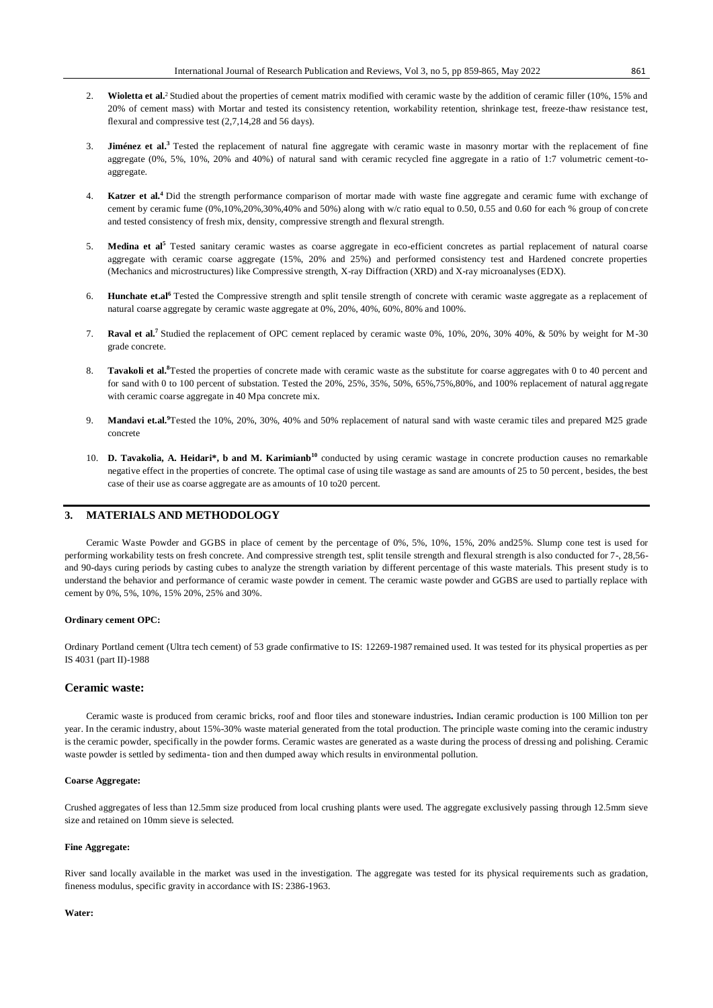- 2. **Wioletta et al.**<sup>2</sup> Studied about the properties of cement matrix modified with ceramic waste by the addition of ceramic filler (10%, 15% and 20% of cement mass) with Mortar and tested its consistency retention, workability retention, shrinkage test, freeze-thaw resistance test, flexural and compressive test (2,7,14,28 and 56 days).
- 3. **Jiménez et al.<sup>3</sup>**Tested the replacement of natural fine aggregate with ceramic waste in masonry mortar with the replacement of fine aggregate (0%, 5%, 10%, 20% and 40%) of natural sand with ceramic recycled fine aggregate in a ratio of 1:7 volumetric cement-toaggregate.
- 4. **Katzer et al.<sup>4</sup>**Did the strength performance comparison of mortar made with waste fine aggregate and ceramic fume with exchange of cement by ceramic fume (0%,10%,20%,30%,40% and 50%) along with w/c ratio equal to 0.50, 0.55 and 0.60 for each % group of concrete and tested consistency of fresh mix, density, compressive strength and flexural strength.
- 5. **Medina et al<sup>5</sup>** Tested sanitary ceramic wastes as coarse aggregate in eco-efficient concretes as partial replacement of natural coarse aggregate with ceramic coarse aggregate (15%, 20% and 25%) and performed consistency test and Hardened concrete properties (Mechanics and microstructures) like Compressive strength, X-ray Diffraction (XRD) and X-ray microanalyses (EDX).
- 6. **Hunchate et.al<sup>6</sup>**Tested the Compressive strength and split tensile strength of concrete with ceramic waste aggregate as a replacement of natural coarse aggregate by ceramic waste aggregate at 0%, 20%, 40%, 60%, 80% and 100%.
- 7. **Raval et al.<sup>7</sup>**Studied the replacement of OPC cement replaced by ceramic waste 0%, 10%, 20%, 30% 40%, & 50% by weight for M-30 grade concrete.
- 8. **Tavakoli et al.<sup>8</sup>**Tested the properties of concrete made with ceramic waste as the substitute for coarse aggregates with 0 to 40 percent and for sand with 0 to 100 percent of substation. Tested the 20%, 25%, 35%, 50%, 65%,75%,80%, and 100% replacement of natural aggregate with ceramic coarse aggregate in 40 Mpa concrete mix.
- 9. **Mandavi et.al.<sup>9</sup>**Tested the 10%, 20%, 30%, 40% and 50% replacement of natural sand with waste ceramic tiles and prepared M25 grade concrete
- 10. **D. Tavakolia, A. Heidari\*, b and M. Karimianb<sup>10</sup>** conducted by using ceramic wastage in concrete production causes no remarkable negative effect in the properties of concrete. The optimal case of using tile wastage as sand are amounts of 25 to 50 percent, besides, the best case of their use as coarse aggregate are as amounts of 10 to20 percent.

# **3. MATERIALS AND METHODOLOGY**

Ceramic Waste Powder and GGBS in place of cement by the percentage of 0%, 5%, 10%, 15%, 20% and25%. Slump cone test is used for performing workability tests on fresh concrete. And compressive strength test, split tensile strength and flexural strength is also conducted for 7-, 28,56 and 90-days curing periods by casting cubes to analyze the strength variation by different percentage of this waste materials. This present study is to understand the behavior and performance of ceramic waste powder in cement. The ceramic waste powder and GGBS are used to partially replace with cement by 0%, 5%, 10%, 15% 20%, 25% and 30%.

#### **Ordinary cement OPC:**

Ordinary Portland cement (Ultra tech cement) of 53 grade confirmative to IS: 12269-1987 remained used. It was tested for its physical properties as per IS 4031 (part II)-1988

#### **[Ceramic waste:](https://www.ijert.org/)**

[Ceramic waste is produced from ceramic bricks, roof and floor tiles and stoneware industries](https://www.ijert.org/)**[.](https://www.ijert.org/)** [Indian ceramic production is 100 Million ton per](https://www.ijert.org/)  [year. In the ceramic industry, about 15%-30% waste material generated from the total production. The principle waste coming into the ceramic industry](https://www.ijert.org/)  [is the ceramic powder, specifically in the powder forms. Ceramic wastes are generated as a waste during the process of dressing and polishing. Ceramic](https://www.ijert.org/)  waste powder is settled by sedimenta- [tion and then dumped away which results in environmental pollution.](https://www.ijert.org/)

#### **Coarse Aggregate:**

Crushed aggregates of less than 12.5mm size produced from local crushing plants were used. The aggregate exclusively passing through 12.5mm sieve size and retained on 10mm sieve is selected.

#### **Fine Aggregate:**

River sand locally available in the market was used in the investigation. The aggregate was tested for its physical requirements such as gradation, fineness modulus, specific gravity in accordance with IS: 2386-1963.

#### **Water:**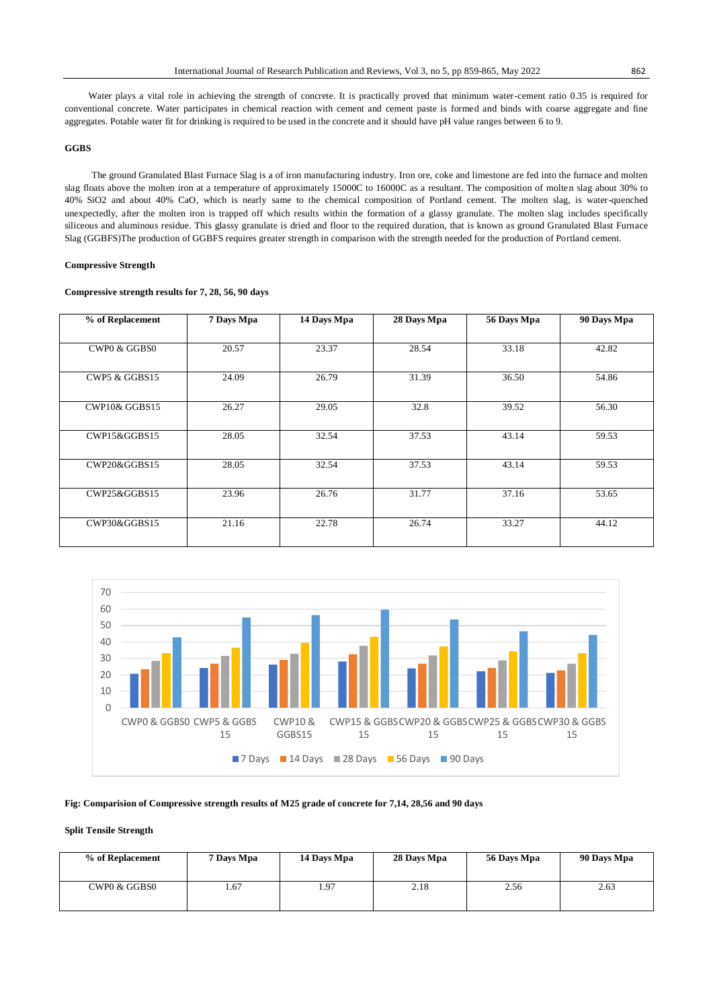Water plays a vital role in achieving the strength of concrete. It is practically proved that minimum water-cement ratio 0.35 is required for conventional concrete. Water participates in chemical reaction with cement and cement paste is formed and binds with coarse aggregate and fine aggregates. Potable water fit for drinking is required to be used in the concrete and it should have pH value ranges between 6 to 9.

### **GGBS**

The ground Granulated Blast Furnace Slag is a of iron manufacturing industry. Iron ore, coke and limestone are fed into the furnace and molten slag floats above the molten iron at a temperature of approximately 15000C to 16000C as a resultant. The composition of molten slag about 30% to 40% SiO2 and about 40% CaO, which is nearly same to the chemical composition of Portland cement. The molten slag, is water-quenched unexpectedly, after the molten iron is trapped off which results within the formation of a glassy granulate. The molten slag includes specifically siliceous and aluminous residue. This glassy granulate is dried and floor to the required duration, that is known as ground Granulated Blast Furnace Slag (GGBFS)The production of GGBFS requires greater strength in comparison with the strength needed for the production of Portland cement.

#### **Compressive Strength**

#### **Compressive strength results for 7, 28, 56, 90 days**

| % of Replacement | 7 Days Mpa | 14 Days Mpa | 28 Days Mpa | 56 Days Mpa | 90 Days Mpa |
|------------------|------------|-------------|-------------|-------------|-------------|
|                  |            |             |             |             |             |
| CWP0 & GGBS0     | 20.57      | 23.37       | 28.54       | 33.18       | 42.82       |
|                  |            |             |             |             |             |
| CWP5 & GGBS15    | 24.09      | 26.79       | 31.39       | 36.50       | 54.86       |
|                  |            |             |             |             |             |
| CWP10& GGBS15    | 26.27      | 29.05       | 32.8        | 39.52       | 56.30       |
|                  |            |             |             |             |             |
| CWP15&GGBS15     | 28.05      | 32.54       | 37.53       | 43.14       | 59.53       |
|                  |            |             |             |             |             |
| CWP20&GGBS15     | 28.05      | 32.54       | 37.53       | 43.14       | 59.53       |
|                  |            |             |             |             |             |
| CWP25&GGBS15     | 23.96      | 26.76       | 31.77       | 37.16       | 53.65       |
|                  |            |             |             |             |             |
| CWP30&GGBS15     | 21.16      | 22.78       | 26.74       | 33.27       | 44.12       |
|                  |            |             |             |             |             |



### **Fig: Comparision of Compressive strength results of M25 grade of concrete for 7,14, 28,56 and 90 days**

#### **Split Tensile Strength**

| % of Replacement | 7 Days Mpa | 14 Days Mpa | 28 Days Mpa | 56 Days Mpa | 90 Days Mpa |
|------------------|------------|-------------|-------------|-------------|-------------|
| CWP0 & GGBS0     | .67        | 1.97        | 2.18        | 2.56        | 2.63        |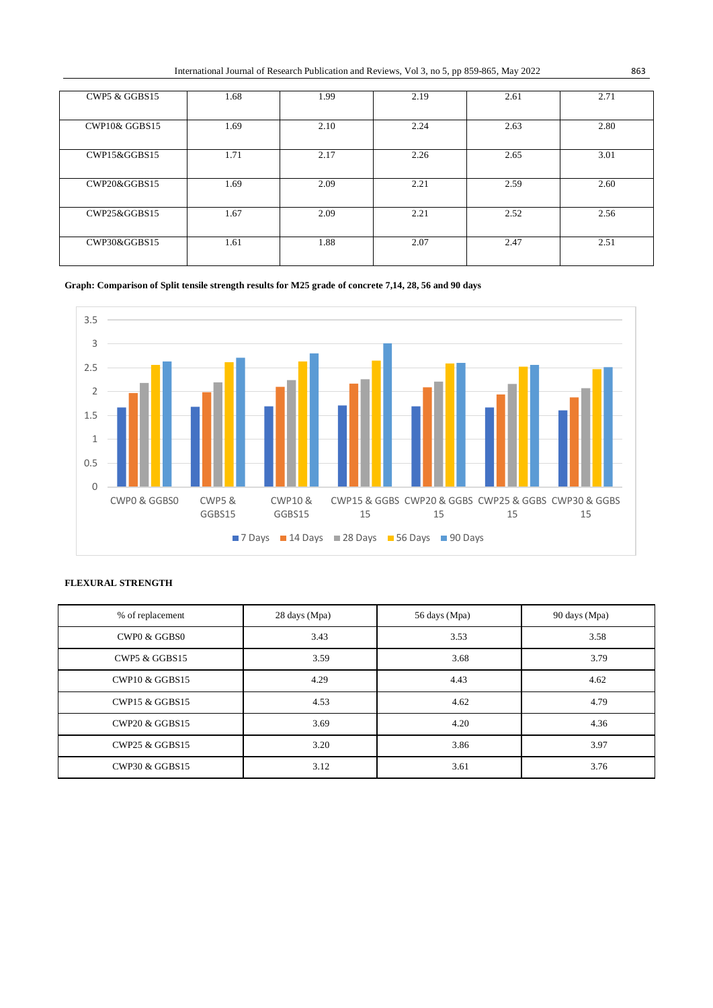| International Journal of Research Publication and Reviews, Vol 3, no 5, pp 859-865, May 2022 | 863 |
|----------------------------------------------------------------------------------------------|-----|
|----------------------------------------------------------------------------------------------|-----|

| CWP5 & GGBS15 | 1.68 | 1.99 | 2.19 | 2.61 | 2.71 |
|---------------|------|------|------|------|------|
| CWP10& GGBS15 | 1.69 | 2.10 | 2.24 | 2.63 | 2.80 |
| CWP15&GGBS15  | 1.71 | 2.17 | 2.26 | 2.65 | 3.01 |
| CWP20&GGBS15  | 1.69 | 2.09 | 2.21 | 2.59 | 2.60 |
| CWP25&GGBS15  | 1.67 | 2.09 | 2.21 | 2.52 | 2.56 |
| CWP30&GGBS15  | 1.61 | 1.88 | 2.07 | 2.47 | 2.51 |

# **Graph: Comparison of Split tensile strength results for M25 grade of concrete 7,14, 28, 56 and 90 days**



# **FLEXURAL STRENGTH**

| % of replacement          | 28 days (Mpa) | 56 days (Mpa) | 90 days (Mpa) |
|---------------------------|---------------|---------------|---------------|
| CWPO & GGBSO              | 3.43          | 3.53          | 3.58          |
| CWP5 & GGBS15             | 3.59          | 3.68          | 3.79          |
| <b>CWP10 &amp; GGBS15</b> | 4.29          | 4.43          | 4.62          |
| <b>CWP15 &amp; GGBS15</b> | 4.53          | 4.62          | 4.79          |
| <b>CWP20 &amp; GGBS15</b> | 3.69          | 4.20          | 4.36          |
| <b>CWP25 &amp; GGBS15</b> | 3.20          | 3.86          | 3.97          |
| <b>CWP30 &amp; GGBS15</b> | 3.12          | 3.61          | 3.76          |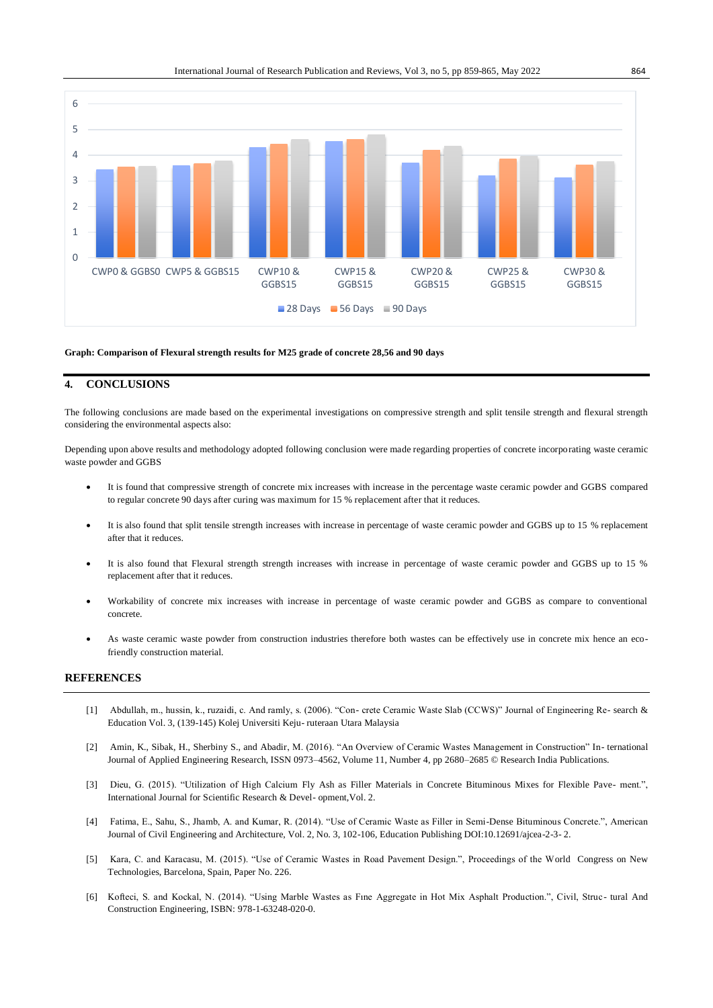

#### **Graph: Comparison of Flexural strength results for M25 grade of concrete 28,56 and 90 days**

# **4. CONCLUSIONS**

The following conclusions are made based on the experimental investigations on compressive strength and split tensile strength and flexural strength considering the environmental aspects also:

Depending upon above results and methodology adopted following conclusion were made regarding properties of concrete incorporating waste ceramic waste powder and GGBS

- It is found that compressive strength of concrete mix increases with increase in the percentage waste ceramic powder and GGBS compared to regular concrete 90 days after curing was maximum for 15 % replacement after that it reduces.
- It is also found that split tensile strength increases with increase in percentage of waste ceramic powder and GGBS up to 15 % replacement after that it reduces.
- It is also found that Flexural strength strength increases with increase in percentage of waste ceramic powder and GGBS up to 15 % replacement after that it reduces.
- Workability of concrete mix increases with increase in percentage of waste ceramic powder and GGBS as compare to conventional concrete.
- As waste ceramic waste powder from construction industries therefore both wastes can be effectively use in concrete mix hence an ecofriendly construction material.

# **REFERENCES**

- [1] Abdullah, m., hussin, k., ruzaidi, c. And ramly, s. (2006). "Con- crete Ceramic Waste Slab (CCWS)" Journal of Engineering Re- search & Education Vol. 3, (139-145) Kolej Universiti Keju- ruteraan Utara Malaysia
- [2] Amin, K., Sibak, H., Sherbiny S., and Abadir, M. (2016). "An Overview of Ceramic Wastes Management in Construction" In- ternational Journal of Applied Engineering Research, ISSN 0973–4562, Volume 11, Number 4, pp 2680–2685 © Research India Publications.
- [3] Dieu, G. (2015). "Utilization of High Calcium Fly Ash as Filler Materials in Concrete Bituminous Mixes for Flexible Pave- ment.", International Journal for Scientific Research & Devel- opment,Vol. 2.
- [4] Fatima, E., Sahu, S., Jhamb, A. and Kumar, R. (2014). "Use of Ceramic Waste as Filler in Semi-Dense Bituminous Concrete.", American Journal of Civil Engineering and Architecture, Vol. 2, No. 3, 102-106, Education Publishing DOI:10.12691/ajcea-2-3- 2.
- [5] Kara, C. and Karacasu, M. (2015). "Use of Ceramic Wastes in Road Pavement Design.", Proceedings of the World Congress on New Technologies, Barcelona, Spain, Paper No. 226.
- [6] Kofteci, S. and Kockal, N. (2014). "Using Marble Wastes as Fıne Aggregate in Hot Mix Asphalt Production.", Civil, Struc- tural And Construction Engineering, ISBN: 978-1-63248-020-0.